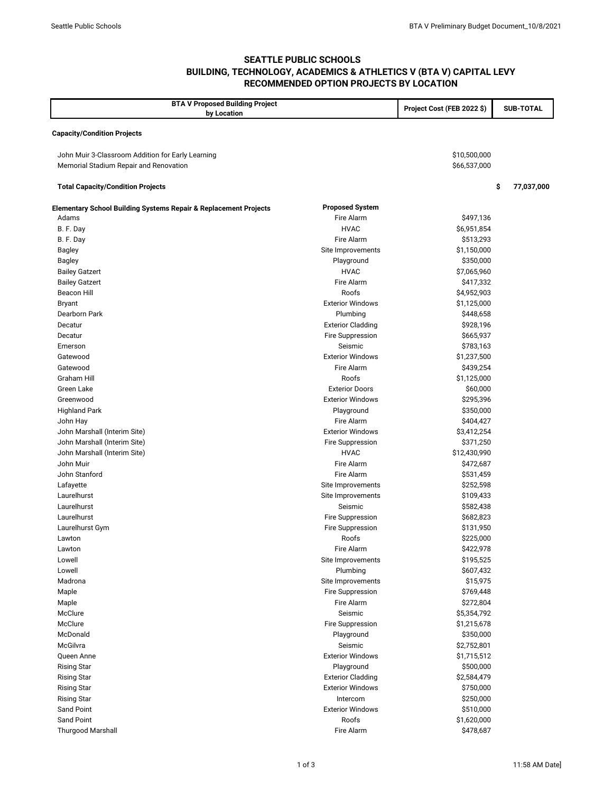## **SEATTLE PUBLIC SCHOOLS BUILDING, TECHNOLOGY, ACADEMICS & ATHLETICS V (BTA V) CAPITAL LEVY RECOMMENDED OPTION PROJECTS BY LOCATION**

| <b>BTA V Proposed Building Project</b><br>by Location            |                          | Project Cost (FEB 2022 \$) | <b>SUB-TOTAL</b> |
|------------------------------------------------------------------|--------------------------|----------------------------|------------------|
| <b>Capacity/Condition Projects</b>                               |                          |                            |                  |
|                                                                  |                          |                            |                  |
| John Muir 3-Classroom Addition for Early Learning                |                          | \$10,500,000               |                  |
| Memorial Stadium Repair and Renovation                           |                          | \$66,537,000               |                  |
| <b>Total Capacity/Condition Projects</b>                         |                          |                            | \$<br>77,037,000 |
| Elementary School Building Systems Repair & Replacement Projects | <b>Proposed System</b>   |                            |                  |
| Adams                                                            | Fire Alarm               | \$497,136                  |                  |
| B. F. Day                                                        | <b>HVAC</b>              | \$6,951,854                |                  |
| B. F. Day                                                        | Fire Alarm               | \$513,293                  |                  |
| <b>Bagley</b>                                                    | Site Improvements        | \$1,150,000                |                  |
| <b>Bagley</b>                                                    | Playground               | \$350,000                  |                  |
| <b>Bailey Gatzert</b>                                            | <b>HVAC</b>              | \$7,065,960                |                  |
| <b>Bailey Gatzert</b>                                            | Fire Alarm               | \$417,332                  |                  |
| <b>Beacon Hill</b>                                               | Roofs                    | \$4,952,903                |                  |
| <b>Bryant</b>                                                    | <b>Exterior Windows</b>  | \$1,125,000                |                  |
| Dearborn Park                                                    | Plumbing                 | \$448,658                  |                  |
| Decatur                                                          | <b>Exterior Cladding</b> | \$928,196                  |                  |
| Decatur                                                          | <b>Fire Suppression</b>  | \$665,937                  |                  |
| Emerson                                                          | Seismic                  | \$783,163                  |                  |
| Gatewood                                                         | <b>Exterior Windows</b>  | \$1,237,500                |                  |
| Gatewood                                                         | Fire Alarm               | \$439,254                  |                  |
| <b>Graham Hill</b>                                               | Roofs                    | \$1,125,000                |                  |
| Green Lake                                                       | <b>Exterior Doors</b>    | \$60,000                   |                  |
| Greenwood                                                        | <b>Exterior Windows</b>  | \$295,396                  |                  |
| <b>Highland Park</b>                                             | Playground               | \$350,000                  |                  |
| John Hay                                                         | Fire Alarm               | \$404,427                  |                  |
| John Marshall (Interim Site)                                     | <b>Exterior Windows</b>  | \$3,412,254                |                  |
| John Marshall (Interim Site)                                     | <b>Fire Suppression</b>  | \$371,250                  |                  |
| John Marshall (Interim Site)                                     | <b>HVAC</b>              | \$12,430,990               |                  |
| John Muir                                                        | Fire Alarm               | \$472,687                  |                  |
| John Stanford                                                    | Fire Alarm               | \$531,459                  |                  |
| Lafayette                                                        | Site Improvements        | \$252,598                  |                  |
| Laurelhurst                                                      | Site Improvements        | \$109,433                  |                  |
| Laurelhurst                                                      | Seismic                  | \$582,438                  |                  |
| Laurelhurst                                                      | <b>Fire Suppression</b>  | \$682,823                  |                  |
| Laurelhurst Gym                                                  | <b>Fire Suppression</b>  | \$131,950                  |                  |
| Lawton                                                           | Roofs                    | \$225,000                  |                  |
| Lawton                                                           | Fire Alarm               | \$422,978                  |                  |
| Lowell                                                           | Site Improvements        | \$195,525                  |                  |
| Lowell                                                           | Plumbing                 | \$607,432                  |                  |
| Madrona                                                          | Site Improvements        | \$15,975                   |                  |
| Maple                                                            | <b>Fire Suppression</b>  | \$769,448                  |                  |
| Maple                                                            | Fire Alarm               | \$272,804                  |                  |
| McClure                                                          | Seismic                  | \$5,354,792                |                  |
| McClure                                                          | Fire Suppression         | \$1,215,678                |                  |
| McDonald                                                         | Playground               | \$350,000                  |                  |
| McGilvra                                                         | Seismic                  | \$2,752,801                |                  |
| Queen Anne                                                       | <b>Exterior Windows</b>  | \$1,715,512                |                  |
| <b>Rising Star</b>                                               | Playground               | \$500,000                  |                  |
| <b>Rising Star</b>                                               | <b>Exterior Cladding</b> | \$2,584,479                |                  |
| <b>Rising Star</b>                                               | <b>Exterior Windows</b>  | \$750,000                  |                  |
| <b>Rising Star</b>                                               | Intercom                 | \$250,000                  |                  |
| Sand Point                                                       | <b>Exterior Windows</b>  | \$510,000                  |                  |
| <b>Sand Point</b>                                                | Roofs                    | \$1,620,000                |                  |
| <b>Thurgood Marshall</b>                                         | Fire Alarm               | \$478,687                  |                  |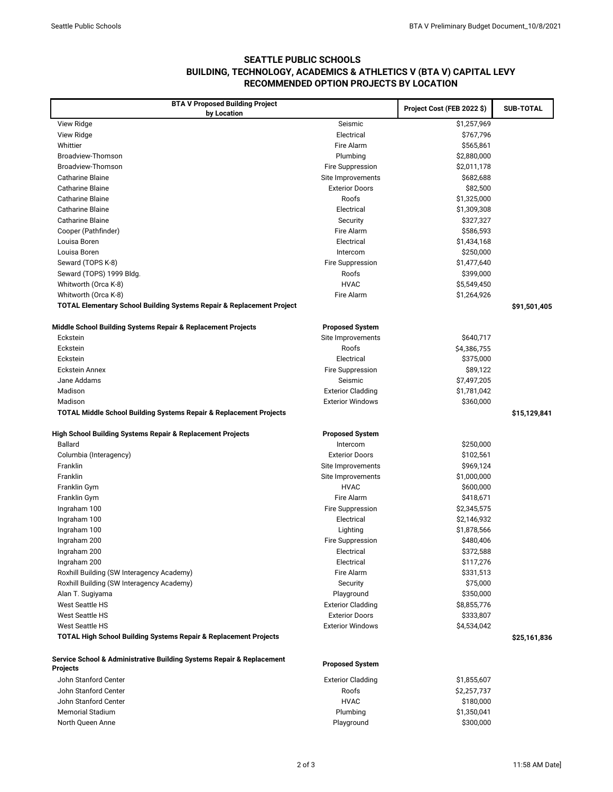## **SEATTLE PUBLIC SCHOOLS BUILDING, TECHNOLOGY, ACADEMICS & ATHLETICS V (BTA V) CAPITAL LEVY RECOMMENDED OPTION PROJECTS BY LOCATION**

| <b>BTA V Proposed Building Project</b>                                           |                          | Project Cost (FEB 2022 \$) | <b>SUB-TOTAL</b> |
|----------------------------------------------------------------------------------|--------------------------|----------------------------|------------------|
| by Location                                                                      |                          |                            |                  |
| View Ridge                                                                       | Seismic                  | \$1,257,969                |                  |
| View Ridge                                                                       | Electrical               | \$767,796                  |                  |
| Whittier                                                                         | Fire Alarm               | \$565,861                  |                  |
| Broadview-Thomson                                                                | Plumbing                 | \$2,880,000                |                  |
| Broadview-Thomson                                                                | Fire Suppression         | \$2,011,178                |                  |
| <b>Catharine Blaine</b>                                                          | Site Improvements        | \$682,688                  |                  |
| <b>Catharine Blaine</b>                                                          | <b>Exterior Doors</b>    | \$82,500                   |                  |
| <b>Catharine Blaine</b>                                                          | Roofs                    | \$1,325,000                |                  |
| <b>Catharine Blaine</b>                                                          | Electrical               | \$1,309,308                |                  |
| <b>Catharine Blaine</b>                                                          | Security                 | \$327,327                  |                  |
| Cooper (Pathfinder)                                                              | Fire Alarm               | \$586,593                  |                  |
| Louisa Boren                                                                     | Electrical               | \$1,434,168                |                  |
| Louisa Boren                                                                     | Intercom                 | \$250,000                  |                  |
| Seward (TOPS K-8)                                                                | Fire Suppression         | \$1,477,640                |                  |
| Seward (TOPS) 1999 Bldg.                                                         | Roofs                    | \$399,000                  |                  |
| Whitworth (Orca K-8)                                                             | <b>HVAC</b>              | \$5,549,450                |                  |
| Whitworth (Orca K-8)                                                             | Fire Alarm               | \$1,264,926                |                  |
| <b>TOTAL Elementary School Building Systems Repair &amp; Replacement Project</b> |                          |                            | \$91,501,405     |
|                                                                                  |                          |                            |                  |
| Middle School Building Systems Repair & Replacement Projects                     | <b>Proposed System</b>   |                            |                  |
| Eckstein                                                                         | Site Improvements        | \$640,717                  |                  |
| Eckstein                                                                         | Roofs                    | \$4,386,755                |                  |
| Eckstein                                                                         | Electrical               | \$375,000                  |                  |
| <b>Eckstein Annex</b>                                                            | Fire Suppression         | \$89,122                   |                  |
| Jane Addams                                                                      | Seismic                  | \$7,497,205                |                  |
| Madison                                                                          | <b>Exterior Cladding</b> | \$1,781,042                |                  |
| Madison                                                                          | <b>Exterior Windows</b>  | \$360,000                  |                  |
| <b>TOTAL Middle School Building Systems Repair &amp; Replacement Projects</b>    |                          |                            | \$15,129,841     |
|                                                                                  |                          |                            |                  |
| High School Building Systems Repair & Replacement Projects                       | <b>Proposed System</b>   |                            |                  |
| <b>Ballard</b>                                                                   | Intercom                 | \$250,000                  |                  |
| Columbia (Interagency)                                                           | <b>Exterior Doors</b>    | \$102,561                  |                  |
| Franklin                                                                         | Site Improvements        | \$969,124                  |                  |
| Franklin                                                                         | Site Improvements        | \$1,000,000                |                  |
| Franklin Gym                                                                     | <b>HVAC</b>              | \$600,000                  |                  |
| Franklin Gym                                                                     | Fire Alarm               | \$418,671                  |                  |
| Ingraham 100                                                                     | Fire Suppression         | \$2,345,575                |                  |
| Ingraham 100                                                                     | Electrical               | \$2,146,932                |                  |
| Ingraham 100                                                                     | Lighting                 | \$1,878,566                |                  |
| Ingraham 200                                                                     | Fire Suppression         | \$480,406                  |                  |
| Ingraham 200                                                                     | Electrical               | \$372,588                  |                  |
| Ingraham 200                                                                     | Electrical               | \$117,276                  |                  |
| Roxhill Building (SW Interagency Academy)                                        | Fire Alarm               | \$331,513                  |                  |
| Roxhill Building (SW Interagency Academy)                                        | Security                 | \$75,000                   |                  |
| Alan T. Sugiyama                                                                 | Playground               | \$350,000                  |                  |
| <b>West Seattle HS</b>                                                           | <b>Exterior Cladding</b> | \$8,855,776                |                  |
| <b>West Seattle HS</b>                                                           | <b>Exterior Doors</b>    | \$333,807                  |                  |
| <b>West Seattle HS</b>                                                           | <b>Exterior Windows</b>  | \$4,534,042                |                  |
| <b>TOTAL High School Building Systems Repair &amp; Replacement Projects</b>      |                          |                            | \$25,161,836     |
|                                                                                  |                          |                            |                  |
| Service School & Administrative Building Systems Repair & Replacement            | <b>Proposed System</b>   |                            |                  |
| <b>Projects</b>                                                                  |                          |                            |                  |
| John Stanford Center                                                             | <b>Exterior Cladding</b> | \$1,855,607                |                  |
| John Stanford Center                                                             | Roofs                    | \$2,257,737                |                  |
| John Stanford Center                                                             | <b>HVAC</b>              | \$180,000                  |                  |
| <b>Memorial Stadium</b>                                                          | Plumbing                 | \$1,350,041                |                  |
| North Queen Anne                                                                 | Playground               | \$300,000                  |                  |